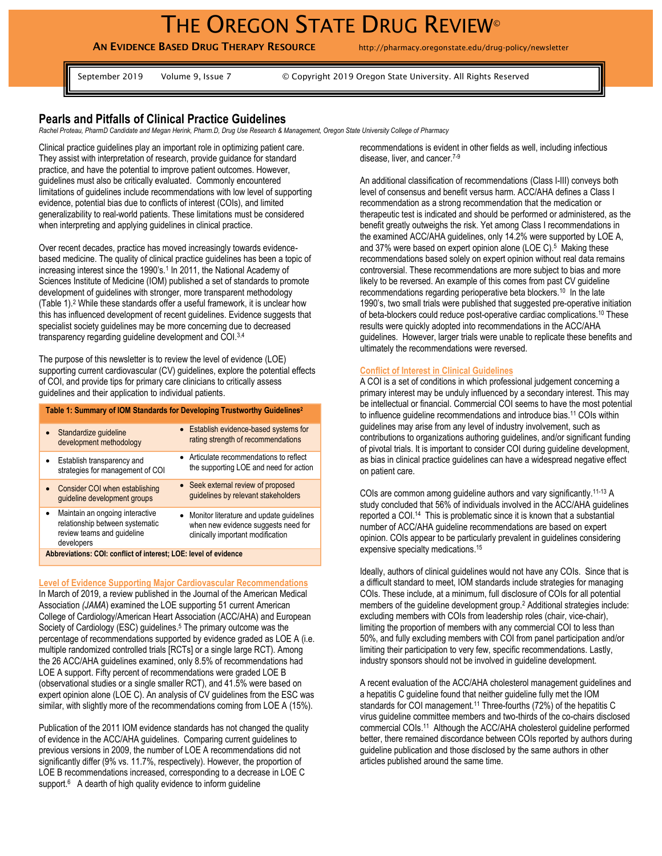# THE OREGON STATE DRUG REVIEW®

# **AN EVIDENCE BASED DRUG THERAPY RESOURCE** http://pharmacy.oregonstate.edu/drug-policy/newsletter

September 2019 Volume 9, Issue 7 © Copyright 2019 Oregon State University. All Rights Reserved

# **Pearls and Pitfalls of Clinical Practice Guidelines**

*Rachel Proteau, PharmD Candidate and Megan Herink, Pharm.D, Drug Use Research & Management, Oregon State University College of Pharmacy*

Clinical practice guidelines play an important role in optimizing patient care. They assist with interpretation of research, provide guidance for standard practice, and have the potential to improve patient outcomes. However, guidelines must also be critically evaluated. Commonly encountered limitations of guidelines include recommendations with low level of supporting evidence, potential bias due to conflicts of interest (COIs), and limited generalizability to real-world patients. These limitations must be considered when interpreting and applying guidelines in clinical practice.

Over recent decades, practice has moved increasingly towards evidencebased medicine. The quality of clinical practice guidelines has been a topic of increasing interest since the 1990's.<sup>1</sup> In 2011, the National Academy of Sciences Institute of Medicine (IOM) published a set of standards to promote development of guidelines with stronger, more transparent methodology (Table 1). <sup>2</sup> While these standards offer a useful framework, it is unclear how this has influenced development of recent guidelines. Evidence suggests that specialist society guidelines may be more concerning due to decreased transparency regarding guideline development and COI.<sup>3,4</sup>

The purpose of this newsletter is to review the level of evidence (LOE) supporting current cardiovascular (CV) guidelines, explore the potential effects of COI, and provide tips for primary care clinicians to critically assess guidelines and their application to individual patients.

| Table 1: Summary of IOM Standards for Developing Trustworthy Guidelines <sup>2</sup>                                        |                                                                                                                        |
|-----------------------------------------------------------------------------------------------------------------------------|------------------------------------------------------------------------------------------------------------------------|
| Standardize quideline                                                                                                       | • Establish evidence-based systems for                                                                                 |
| development methodology                                                                                                     | rating strength of recommendations                                                                                     |
| Establish transparency and                                                                                                  | • Articulate recommendations to reflect                                                                                |
| strategies for management of COI                                                                                            | the supporting LOE and need for action                                                                                 |
| Consider COI when establishing                                                                                              | • Seek external review of proposed                                                                                     |
| quideline development groups                                                                                                | guidelines by relevant stakeholders                                                                                    |
| Maintain an ongoing interactive<br>$\bullet$<br>relationship between systematic<br>review teams and quideline<br>developers | • Monitor literature and update guidelines<br>when new evidence suggests need for<br>clinically important modification |
| Abbreviations: COI: conflict of interest; LOE: level of evidence                                                            |                                                                                                                        |

# **Level of Evidence Supporting Major Cardiovascular Recommendations**

In March of 2019, a review published in the Journal of the American Medical Association *(JAMA*) examined the LOE supporting 51 current American College of Cardiology/American Heart Association (ACC/AHA) and European Society of Cardiology (ESC) guidelines. <sup>5</sup> The primary outcome was the percentage of recommendations supported by evidence graded as LOE A (i.e. multiple randomized controlled trials [RCTs] or a single large RCT). Among the 26 ACC/AHA guidelines examined, only 8.5% of recommendations had LOE A support. Fifty percent of recommendations were graded LOE B (observational studies or a single smaller RCT), and 41.5% were based on expert opinion alone (LOE C). An analysis of CV guidelines from the ESC was similar, with slightly more of the recommendations coming from LOE A (15%).

Publication of the 2011 IOM evidence standards has not changed the quality of evidence in the ACC/AHA guidelines. Comparing current guidelines to previous versions in 2009, the number of LOE A recommendations did not significantly differ (9% vs. 11.7%, respectively). However, the proportion of LOE B recommendations increased, corresponding to a decrease in LOE C support.<sup>6</sup> A dearth of high quality evidence to inform guideline

recommendations is evident in other fields as well, including infectious disease, liver, and cancer. 7-9

An additional classification of recommendations (Class I-III) conveys both level of consensus and benefit versus harm. ACC/AHA defines a Class I recommendation as a strong recommendation that the medication or therapeutic test is indicated and should be performed or administered, as the benefit greatly outweighs the risk. Yet among Class I recommendations in the examined ACC/AHA guidelines, only 14.2% were supported by LOE A, and 37% were based on expert opinion alone (LOE C).<sup>5</sup> Making these recommendations based solely on expert opinion without real data remains controversial. These recommendations are more subject to bias and more likely to be reversed. An example of this comes from past CV guideline recommendations regarding perioperative beta blockers.<sup>10</sup> In the late 1990's, two small trials were published that suggested pre-operative initiation of beta-blockers could reduce post-operative cardiac complications.<sup>10</sup> These results were quickly adopted into recommendations in the ACC/AHA guidelines. However, larger trials were unable to replicate these benefits and ultimately the recommendations were reversed.

#### **Conflict of Interest in Clinical Guidelines**

A COI is a set of conditions in which professional judgement concerning a primary interest may be unduly influenced by a secondary interest. This may be intellectual or financial. Commercial COI seems to have the most potential to influence guideline recommendations and introduce bias.<sup>11</sup> COIs within guidelines may arise from any level of industry involvement, such as contributions to organizations authoring guidelines, and/or significant funding of pivotal trials. It is important to consider COI during guideline development, as bias in clinical practice guidelines can have a widespread negative effect on patient care.

COIs are common among guideline authors and vary significantly. 11-13 A study concluded that 56% of individuals involved in the ACC/AHA guidelines reported a COI.<sup>14</sup> This is problematic since it is known that a substantial number of ACC/AHA guideline recommendations are based on expert opinion. COIs appear to be particularly prevalent in guidelines considering expensive specialty medications. 15

Ideally, authors of clinical guidelines would not have any COIs. Since that is a difficult standard to meet, IOM standards include strategies for managing COIs. These include, at a minimum, full disclosure of COIs for all potential members of the quideline development group.<sup>2</sup> Additional strategies include: excluding members with COIs from leadership roles (chair, vice-chair), limiting the proportion of members with any commercial COI to less than 50%, and fully excluding members with COI from panel participation and/or limiting their participation to very few, specific recommendations. Lastly, industry sponsors should not be involved in guideline development.

A recent evaluation of the ACC/AHA cholesterol management guidelines and a hepatitis C guideline found that neither guideline fully met the IOM standards for COI management.<sup>11</sup> Three-fourths (72%) of the hepatitis C virus guideline committee members and two-thirds of the co-chairs disclosed commercial COIs.<sup>11</sup> Although the ACC/AHA cholesterol guideline performed better, there remained discordance between COIs reported by authors during guideline publication and those disclosed by the same authors in other articles published around the same time.